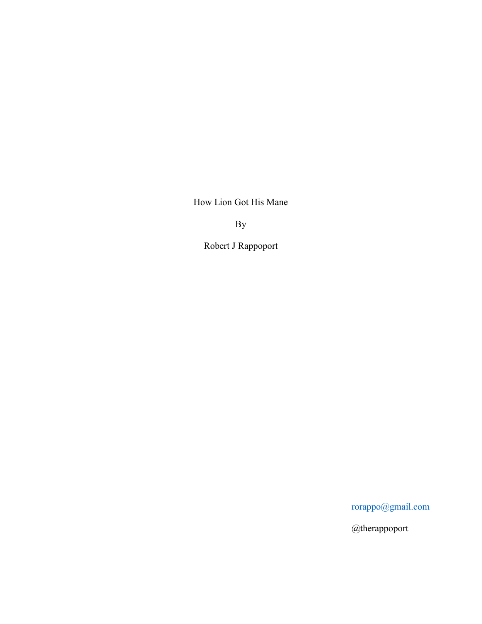How Lion Got His Mane

By

Robert J Rappoport

[rorappo@gmail.com](mailto:rorappo@gmail.com)

@therappoport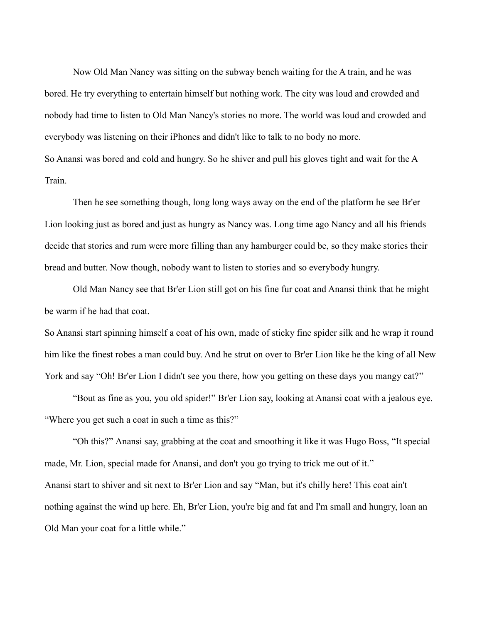Now Old Man Nancy was sitting on the subway bench waiting for the A train, and he was bored. He try everything to entertain himself but nothing work. The city was loud and crowded and nobody had time to listen to Old Man Nancy's stories no more. The world was loud and crowded and everybody was listening on their iPhones and didn't like to talk to no body no more. So Anansi was bored and cold and hungry. So he shiver and pull his gloves tight and wait for the A Train.

Then he see something though, long long ways away on the end of the platform he see Br'er Lion looking just as bored and just as hungry as Nancy was. Long time ago Nancy and all his friends decide that stories and rum were more filling than any hamburger could be, so they make stories their bread and butter. Now though, nobody want to listen to stories and so everybody hungry.

Old Man Nancy see that Br'er Lion still got on his fine fur coat and Anansi think that he might be warm if he had that coat.

So Anansi start spinning himself a coat of his own, made of sticky fine spider silk and he wrap it round him like the finest robes a man could buy. And he strut on over to Br'er Lion like he the king of all New York and say "Oh! Br'er Lion I didn't see you there, how you getting on these days you mangy cat?"

"Bout as fine as you, you old spider!" Br'er Lion say, looking at Anansi coat with a jealous eye. "Where you get such a coat in such a time as this?"

"Oh this?" Anansi say, grabbing at the coat and smoothing it like it was Hugo Boss, "It special made, Mr. Lion, special made for Anansi, and don't you go trying to trick me out of it." Anansi start to shiver and sit next to Br'er Lion and say "Man, but it's chilly here! This coat ain't nothing against the wind up here. Eh, Br'er Lion, you're big and fat and I'm small and hungry, loan an Old Man your coat for a little while."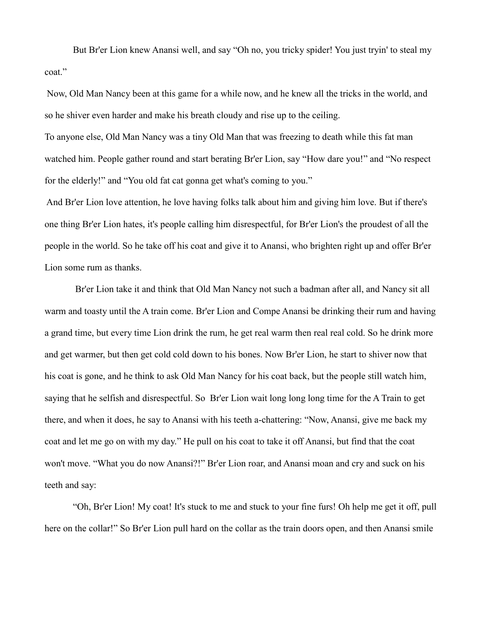But Br'er Lion knew Anansi well, and say "Oh no, you tricky spider! You just tryin' to steal my coat."

Now, Old Man Nancy been at this game for a while now, and he knew all the tricks in the world, and so he shiver even harder and make his breath cloudy and rise up to the ceiling.

To anyone else, Old Man Nancy was a tiny Old Man that was freezing to death while this fat man watched him. People gather round and start berating Br'er Lion, say "How dare you!" and "No respect for the elderly!" and "You old fat cat gonna get what's coming to you."

And Br'er Lion love attention, he love having folks talk about him and giving him love. But if there's one thing Br'er Lion hates, it's people calling him disrespectful, for Br'er Lion's the proudest of all the people in the world. So he take off his coat and give it to Anansi, who brighten right up and offer Br'er Lion some rum as thanks.

Br'er Lion take it and think that Old Man Nancy not such a badman after all, and Nancy sit all warm and toasty until the A train come. Br'er Lion and Compe Anansi be drinking their rum and having a grand time, but every time Lion drink the rum, he get real warm then real real cold. So he drink more and get warmer, but then get cold cold down to his bones. Now Br'er Lion, he start to shiver now that his coat is gone, and he think to ask Old Man Nancy for his coat back, but the people still watch him, saying that he selfish and disrespectful. So Br'er Lion wait long long long time for the A Train to get there, and when it does, he say to Anansi with his teeth a-chattering: "Now, Anansi, give me back my coat and let me go on with my day." He pull on his coat to take it off Anansi, but find that the coat won't move. "What you do now Anansi?!" Br'er Lion roar, and Anansi moan and cry and suck on his teeth and say:

"Oh, Br'er Lion! My coat! It's stuck to me and stuck to your fine furs! Oh help me get it off, pull here on the collar!" So Br'er Lion pull hard on the collar as the train doors open, and then Anansi smile